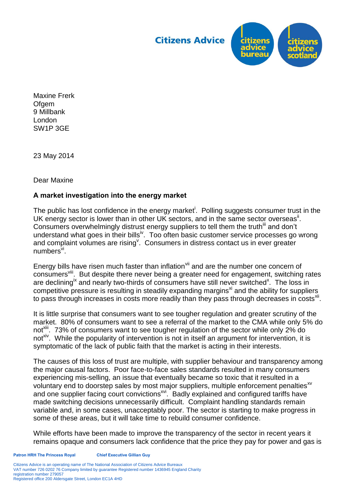**Citizens Advice** 



Maxine Frerk **Ofgem** 9 Millbank London SW1P 3GE

23 May 2014

Dear Maxine

## **A market investigation into the energy market**

The public has lost confidence in the energy market<sup>i</sup>. Polling suggests consumer trust in the UK energy sector is lower than in other UK sectors, and in the same sector overseas<sup>ii</sup>. Consumers overwhelmingly distrust energy suppliers to tell them the truth<sup>III</sup> and don't understand what goes in their bills<sup>iv</sup>. Too often basic customer service processes go wrong and complaint volumes are rising<sup>v</sup>. Consumers in distress contact us in ever greater numbers<sup>vi</sup>.

Energy bills have risen much faster than inflation<sup>vii</sup> and are the number one concern of consumers<sup>viii</sup>. But despite there never being a greater need for engagement, switching rates are declining<sup>ix</sup> and nearly two-thirds of consumers have still never switched<sup>x</sup>. The loss in competitive pressure is resulting in steadily expanding margins $x_i$  and the ability for suppliers to pass through increases in costs more readily than they pass through decreases in costs $^{xi}$ .

It is little surprise that consumers want to see tougher regulation and greater scrutiny of the market. 80% of consumers want to see a referral of the market to the CMA while only 5% do not<sup>Xiii</sup>. 73% of consumers want to see tougher regulation of the sector while only 2% do not<sup>xiv</sup>. While the popularity of intervention is not in itself an argument for intervention, it is symptomatic of the lack of public faith that the market is acting in their interests.

The causes of this loss of trust are multiple, with supplier behaviour and transparency among the major causal factors. Poor face-to-face sales standards resulted in many consumers experiencing mis-selling, an issue that eventually became so toxic that it resulted in a voluntary end to doorstep sales by most major suppliers, multiple enforcement penalties<sup>xv</sup> and one supplier facing court convictions<sup>xvi</sup>. Badly explained and configured tariffs have made switching decisions unnecessarily difficult. Complaint handling standards remain variable and, in some cases, unacceptably poor. The sector is starting to make progress in some of these areas, but it will take time to rebuild consumer confidence.

While efforts have been made to improve the transparency of the sector in recent years it remains opaque and consumers lack confidence that the price they pay for power and gas is

Citizens Advice is an operating name of The National Association of Citizens Advice Bureaux VAT number 726 0202 76 Company limited by guarantee Registered number 1436945 England Charity registration number 279057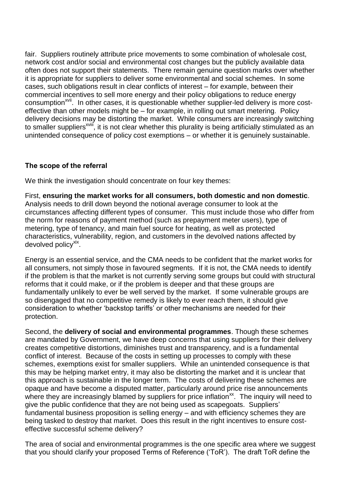fair. Suppliers routinely attribute price movements to some combination of wholesale cost, network cost and/or social and environmental cost changes but the publicly available data often does not support their statements. There remain genuine question marks over whether it is appropriate for suppliers to deliver some environmental and social schemes. In some cases, such obligations result in clear conflicts of interest – for example, between their commercial incentives to sell more energy and their policy obligations to reduce energy consumption<sup>xvii</sup>. In other cases, it is questionable whether supplier-led delivery is more costeffective than other models might be – for example, in rolling out smart metering. Policy delivery decisions may be distorting the market. While consumers are increasingly switching to smaller suppliers<sup>xviii</sup>, it is not clear whether this plurality is being artificially stimulated as an unintended consequence of policy cost exemptions – or whether it is genuinely sustainable.

## **The scope of the referral**

We think the investigation should concentrate on four key themes:

First, **ensuring the market works for all consumers, both domestic and non domestic**. Analysis needs to drill down beyond the notional average consumer to look at the circumstances affecting different types of consumer. This must include those who differ from the norm for reasons of payment method (such as prepayment meter users), type of metering, type of tenancy, and main fuel source for heating, as well as protected characteristics, vulnerability, region, and customers in the devolved nations affected by devolved policy<sup>xix</sup>.

Energy is an essential service, and the CMA needs to be confident that the market works for all consumers, not simply those in favoured segments. If it is not, the CMA needs to identify if the problem is that the market is not currently serving some groups but could with structural reforms that it could make, or if the problem is deeper and that these groups are fundamentally unlikely to ever be well served by the market. If some vulnerable groups are so disengaged that no competitive remedy is likely to ever reach them, it should give consideration to whether 'backstop tariffs' or other mechanisms are needed for their protection.

Second, the **delivery of social and environmental programmes**. Though these schemes are mandated by Government, we have deep concerns that using suppliers for their delivery creates competitive distortions, diminishes trust and transparency, and is a fundamental conflict of interest. Because of the costs in setting up processes to comply with these schemes, exemptions exist for smaller suppliers. While an unintended consequence is that this may be helping market entry, it may also be distorting the market and it is unclear that this approach is sustainable in the longer term. The costs of delivering these schemes are opaque and have become a disputed matter, particularly around price rise announcements where they are increasingly blamed by suppliers for price inflation<sup>xx</sup>. The inquiry will need to give the public confidence that they are not being used as scapegoats. Suppliers' fundamental business proposition is selling energy – and with efficiency schemes they are being tasked to destroy that market. Does this result in the right incentives to ensure costeffective successful scheme delivery?

The area of social and environmental programmes is the one specific area where we suggest that you should clarify your proposed Terms of Reference ('ToR'). The draft ToR define the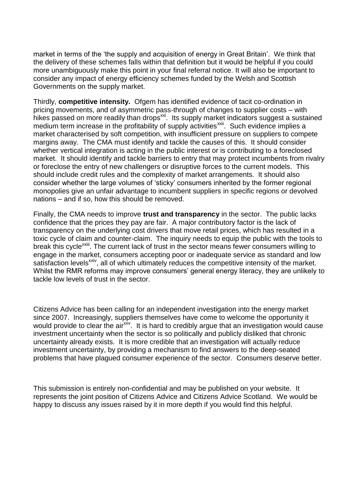market in terms of the 'the supply and acquisition of energy in Great Britain'. We think that the delivery of these schemes falls within that definition but it would be helpful if you could more unambiguously make this point in your final referral notice. It will also be important to consider any impact of energy efficiency schemes funded by the Welsh and Scottish Governments on the supply market.

Thirdly, **competitive intensity.** Ofgem has identified evidence of tacit co-ordination in pricing movements, and of asymmetric pass-through of changes to supplier costs – with hikes passed on more readily than drops $^{xx}$ . Its supply market indicators suggest a sustained medium term increase in the profitability of supply activities<sup>xxii</sup>. Such evidence implies a market characterised by soft competition, with insufficient pressure on suppliers to compete margins away. The CMA must identify and tackle the causes of this. It should consider whether vertical integration is acting in the public interest or is contributing to a foreclosed market. It should identify and tackle barriers to entry that may protect incumbents from rivalry or foreclose the entry of new challengers or disruptive forces to the current models. This should include credit rules and the complexity of market arrangements. It should also consider whether the large volumes of 'sticky' consumers inherited by the former regional monopolies give an unfair advantage to incumbent suppliers in specific regions or devolved nations – and if so, how this should be removed.

Finally, the CMA needs to improve **trust and transparency** in the sector. The public lacks confidence that the prices they pay are fair. A major contributory factor is the lack of transparency on the underlying cost drivers that move retail prices, which has resulted in a toxic cycle of claim and counter-claim. The inquiry needs to equip the public with the tools to break this cycle<sup>xxiii</sup>. The current lack of trust in the sector means fewer consumers willing to engage in the market, consumers accepting poor or inadequate service as standard and low satisfaction levels<sup>XXIV</sup>, all of which ultimately reduces the competitive intensity of the market. Whilst the RMR reforms may improve consumers' general energy literacy, they are unlikely to tackle low levels of trust in the sector.

Citizens Advice has been calling for an independent investigation into the energy market since 2007. Increasingly, suppliers themselves have come to welcome the opportunity it would provide to clear the air xxv. It is hard to credibly argue that an investigation would cause investment uncertainty when the sector is so politically and publicly disliked that chronic uncertainty already exists. It is more credible that an investigation will actually reduce investment uncertainty, by providing a mechanism to find answers to the deep-seated problems that have plagued consumer experience of the sector. Consumers deserve better.

This submission is entirely non-confidential and may be published on your website. It represents the joint position of Citizens Advice and Citizens Advice Scotland. We would be happy to discuss any issues raised by it in more depth if you would find this helpful.